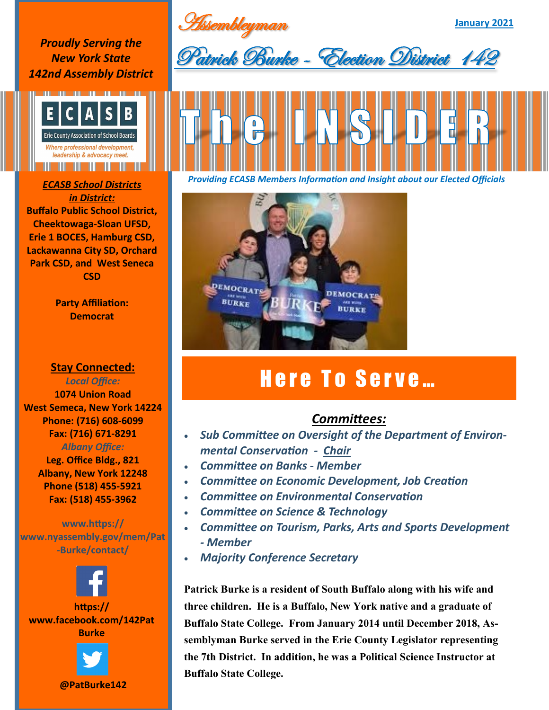Assembleyman

**January 2021**

*Proudly Serving the New York State 142nd Assembly District*



*in District:* **Buffalo Public School District, Cheektowaga-Sloan UFSD, Erie 1 BOCES, Hamburg CSD, Lackawanna City SD, Orchard Park CSD, and West Seneca CSD**

> **Party Affiliation: Democrat**

**Stay Connected:** 

*Local Office:* **1074 Union Road West Semeca, New York 14224 Phone: (716) 608-6099 Fax: (716) 671-8291** *Albany Office:* 

> **Leg. Office Bldg., 821 Albany, New York 12248 Phone (518) 455-5921 Fax: (518) 455-3962**

**www.https:// www.nyassembly.gov/mem/Pat -Burke/contact/**



**@PatBurke142**



Patrick Burke - Election District 142

*Providing ECASB Members Information and Insight about our Elected Officials ECASB School Districts* 



## Here To Serve...

## *Committees:*

- *Sub Committee on Oversight of the Department of Environmental Conservation - Chair*
- *Committee on Banks - Member*
- *Committee on Economic Development, Job Creation*
- *Committee on Environmental Conservation*
- *Committee on Science & Technology*
- *Committee on Tourism, Parks, Arts and Sports Development - Member*
- *Majority Conference Secretary*

**Patrick Burke is a resident of South Buffalo along with his wife and three children. He is a Buffalo, New York native and a graduate of Buffalo State College. From January 2014 until December 2018, Assemblyman Burke served in the Erie County Legislator representing the 7th District. In addition, he was a Political Science Instructor at Buffalo State College.**